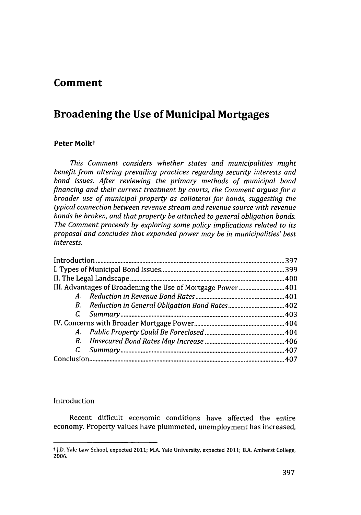## **Comment**

# **Broadening the Use of Municipal Mortgages**

## Peter Molk<sup>+</sup>

*This Comment considers whether states and municipalities might benefit from altering prevailing practices regarding security interests and bond issues. After reviewing the primary methods of municipal bond financing and their current treatment by courts, the Comment argues for a broader use of municipal property as collateral for bonds, suggesting the typical connection between revenue stream and revenue source with revenue bonds be broken, and that property be attached to general obligation bonds. The Comment proceeds by exploring some policy implications related to its proposal and concludes that expanded power may be in municipalities' best in terests.*

|                                                             | 397  |
|-------------------------------------------------------------|------|
|                                                             | .399 |
|                                                             |      |
| III. Advantages of Broadening the Use of Mortgage Power 401 |      |
|                                                             |      |
|                                                             |      |
|                                                             |      |
|                                                             |      |
|                                                             |      |
|                                                             |      |
|                                                             |      |
|                                                             |      |

## Introduction

Recent difficult economic conditions have affected the entire economy. Property values have plummeted, unemployment has increased,

t J.D. Yale Law School, expected 2011; M.A. Yale University, expected 2011; B.A. Amherst College, 2006.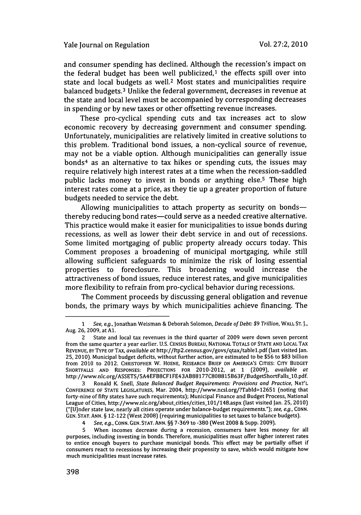and consumer spending has declined. Although the recession's impact on the federal budget has been well publicized, $1$  the effects spill over into state and local budgets as well.<sup>2</sup> Most states and municipalities require balanced budgets.<sup>3</sup> Unlike the federal government, decreases in revenue at the state and local level must be accompanied by corresponding decreases in spending or by new taxes or other offsetting revenue increases.

These pro-cyclical spending cuts and tax increases act to slow economic recovery by decreasing government and consumer spending. Unfortunately, municipalities are relatively limited in creative solutions to this problem. Traditional bond issues, a non-cyclical source of revenue, may not be a viable option. Although municipalities can generally issue bonds<sup>4</sup> as an alternative to tax hikes or spending cuts, the issues may require relatively high interest rates at a time when the recession-saddled public lacks money to invest in bonds or anything else.5 These high interest rates come at a price, as they tie up a greater proportion of future budgets needed to service the debt.

Allowing municipalities to attach property as security on bondsthereby reducing bond rates-could serve as a needed creative alternative. This practice would make it easier for municipalities to issue bonds during recessions, as well as lower their debt service in and out of recessions. Some limited mortgaging of public property already occurs today. This Comment proposes a broadening of municipal mortgaging, while still allowing sufficient safeguards to minimize the risk of losing essential properties to foreclosure. This broadening would increase the attractiveness of bond issues, reduce interest rates, and give municipalities more flexibility to refrain from pro-cyclical behavior during recessions.

The Comment proceeds by discussing general obligation and revenue bonds, the primary ways by which municipalities achieve financing. The

<sup>1</sup>See, e.g., Jonathan Weisman & Deborah Solomon, Decade of Debt: **\$9** Trillion, WALL ST. 1., Aug. 26, 2009, at **Al.**

<sup>2</sup> State and local tax revenues in the third quarter of 2009 were down seven percent from the same quarter a year earlier. U.S. CENSUS BUREAU, NATIONAL TOTALS OF STATE AND LOCAL TAX REVENUE, BY TYPE OF TAX, available *at* http://ftp2.census.gov/govs/qtax/tablel.pdf (last visited Jan. 25, 2010). Municipal budget deficits, without further action, are estimated to be \$56 to \$83 billion from 2010 to 2012. CHRISTOPHER W. **HOENE,** RESEARCH BRIEF **ON AMERICA'S CITIES:** CITY **BUDGET** SHORTFALLS **AND** RESPONSES: PROJECTIONS FOR 2010-2012, at **1** (2009), available *at* http://www.nlc.org/ASSETS/5A4EFB8CFlFE43AB88177C808815B63F/BudgetShortFalls-10.pdf.

<sup>3</sup> Ronald K. Snell, State Balanced Budget Requirements: Provisions and Practice, **NAT'L CONFERENCE** OF STATE LEGISLATURES, Mar. 2004, http://www.ncsl.org/?Tabld=12651 (noting that forty-nine of fifty states have such requirements); Municipal Finance and Budget Process, National League of Cities, http://www.nlc.org/about\_cities/cities\_101/148.aspx (last visited Jan. 25, 2010) ("[U]nder state law, nearly all cities operate under balance-budget requirements."); see, e.g., **CONN. GEN. STAT. ANN.** § 12-122 (West 2008) (requiring municipalities to set taxes to balance budgets).

<sup>4</sup> See, e.g., CONN. GEN. STAT. ANN. §§ 7-369 to -380 (West 2008 **&** Supp. 2009).

**<sup>5</sup>** When incomes decrease during a recession, consumers have less money for all purposes, including investing in bonds. Therefore, municipalities must offer higher interest rates to entice enough buyers to purchase municipal bonds. This effect may be partially offset if consumers react to recessions by increasing their propensity to save, which would mitigate how much municipalities must increase rates.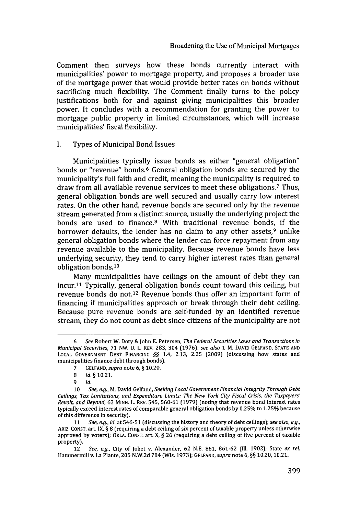Comment then surveys how these bonds currently interact with municipalities' power to mortgage property, and proposes a broader use of the mortgage power that would provide better rates on bonds without sacrificing much flexibility. The Comment finally turns to the policy justifications both for and against giving municipalities this broader power. It concludes with a recommendation for granting the power to mortgage public property in limited circumstances, which will increase municipalities' fiscal flexibility.

#### **I.** Types of Municipal Bond Issues

Municipalities typically issue bonds as either "general obligation" bonds or "revenue" bonds.6 General obligation bonds are secured by the municipality's full faith and credit, meaning the municipality is required to draw from all available revenue services to meet these obligations.<sup>7</sup> Thus, general obligation bonds are well secured and usually carry low interest rates. On the other hand, revenue bonds are secured only by the revenue stream generated from a distinct source, usually the underlying project the bonds are used to finance.<sup>8</sup> With traditional revenue bonds, if the borrower defaults, the lender has no claim to any other assets,<sup>9</sup> unlike general obligation bonds where the lender can force repayment from any revenue available to the municipality. Because revenue bonds have less underlying security, they tend to carry higher interest rates than general obligation bonds. <sup>10</sup>

Many municipalities have ceilings on the amount of debt they can incur.<sup>11</sup> Typically, general obligation bonds count toward this ceiling, but revenue bonds do not.12 Revenue bonds thus offer an important form of financing if municipalities approach or break through their debt ceiling. Because pure revenue bonds are self-funded by an identified revenue stream, they do not count as debt since citizens of the municipality are not

<sup>6</sup> See Robert W. Doty & John E. Petersen, *The Federal Securities Laws and Transactions in* Municipal *Securities,* **71** Nw. U. L. REV. 283, 304 (1976); *see also* **1** M. DAVID GELFAND, STATE AND LOCAL GOVERNMENT DEBT FINANCING §§ 1.4, 2.13, 2.25 (2009) (discussing how states and municipalities finance debt through bonds).

<sup>7</sup> GELFAND, *supra* note 6, § 10.20.

<sup>8</sup> *Id. §* 10.21.

*<sup>9</sup> Id.*

<sup>10</sup> *See, e.g.,* M. David Gelfand, *Seeking Local Government Financial Integrity Through Debt Ceilings, Tax Limitations, and Expenditure Limits: The New York City Fiscal Crisis, the Taxpayers' Revolt, and Beyond,* 63 MINN. L. REV. 545, **560-61** (1979) (noting that revenue bond interest rates typically exceed interest rates of comparable general obligation bonds by 0.25% to 1.25% because of this difference in security).

<sup>11</sup> *See, e.g., id.* at 546-51 (discussing the history and theory of debt ceilings); *see also, e.g.,* ARIZ. CONST. art. IX, § 8 (requiring a debt ceiling of six percent of taxable property unless otherwise approved by voters); OKLA. CONST. art. X,  $\S$  26 (requiring a debt ceiling of five percent of taxable property).

<sup>12</sup> *See, e.g.,* City of Joliet v. Alexander, 62 N.E. 861, 861-62 (Ill. 1902); State *ex rel.* Hammermill v. La Plante, **205** N.W.2d 784 (Wis. 1973); GELFAND, *supra* note 6, §§ 10.20, 10.21.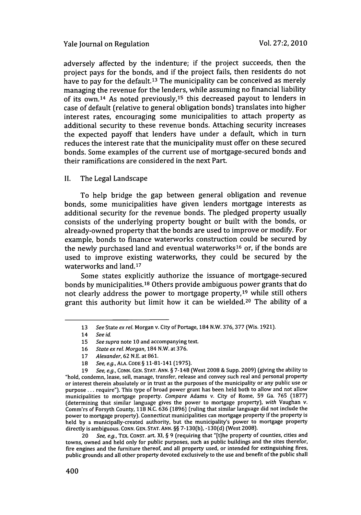#### Yale journal on Regulation

adversely affected **by** the indenture; if the project succeeds, then the project pays for the bonds, and if the project fails, then residents do not have to pay for the default.<sup>13</sup> The municipality can be conceived as merely managing the revenue for the lenders, while assuming no financial liability of its own. 14 As noted previously,15 this decreased payout to lenders in case of default (relative to general obligation bonds) translates into higher interest rates, encouraging some municipalities to attach property as additional security to these revenue bonds. Attaching security increases the expected payoff that lenders have under a default, which in turn reduces the interest rate that the municipality must offer on these secured bonds. Some examples of the current use of mortgage-secured bonds and their ramifications are considered in the next Part.

### **II.** The Legal Landscape

To help bridge the gap between general obligation and revenue bonds, some municipalities have given lenders mortgage interests as additional security for the revenue bonds. The pledged property usually consists of the underlying property bought or built with the bonds, or already-owned property that the bonds are used to improve or modify. For example, bonds to finance waterworks construction could be secured **by** the newly purchased land and eventual waterworks<sup>16</sup> or, if the bonds are used to improve existing waterworks, they could be secured **by** the waterworks and land.<sup>17</sup>

Some states explicitly authorize the issuance of mortgage-secured bonds by municipalities.<sup>18</sup> Others provide ambiguous power grants that do not clearly address the power to mortgage property,<sup>19</sup> while still others grant this authority but limit how it can be wielded.<sup>20</sup> The ability of a

20 See, e.g., TEX. CONST. art. XI, § 9 (requiring that "[t]he property of counties, cities and towns, owned and held only for public purposes, such as public buildings and the sites therefor, fire engines and the furniture thereof, and all property used, or intended for extinguishing fires, public grounds and all other property devoted exclusively to the use and benefit of the public shall

**<sup>13</sup>** See State ex rel. Morgan v. City of Portage, 184 N.W. **376, 377** (Wis. 1921).

<sup>14</sup> See id.

<sup>15</sup> See supra note 10 and accompanying text.

<sup>16</sup> State ex rel. Morgan, 184 N.W. at **376.**

<sup>17</sup> Alexander, 62 N.E. at 861.

<sup>18</sup> See, e.g., **ALA. CODE** § 11-81-141 (1975).

<sup>19</sup> See, e.g., CONN. GEN. STAT. ANN. § 7-148 (West 2008 **&** Supp. 2009) (giving the ability to "hold, condemn, lease, sell, manage, transfer, release and convey such real and personal property or interest therein absolutely or in trust as the purposes of the municipality or any public use or purpose **...** require"). This type of broad power grant has been held both to allow and not allow municipalities to mortgage property. Compare Adams v. City of Rome, **59** Ga. **765** (1877) (determining that similar language gives the power to mortgage property), with Vaughan v. Comm'rs of Forsyth County, 118 N.C. **636** (1896) (ruling that similar language did not include the power to mortgage property). Connecticut municipalities can mortgage property if the property is held by a municipally-created authority, but the municipality's power to mortgage property directly is ambiguous. **CONN. GEN. STAT. ANN.** §§ 7-130(b), -130(d) (West 2008).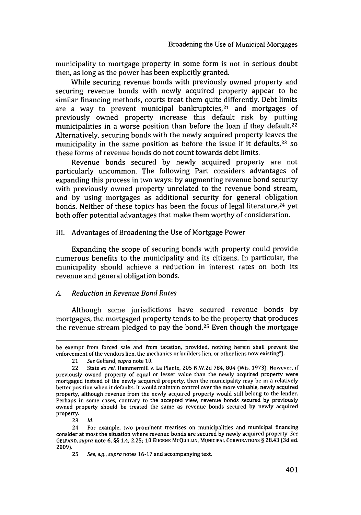municipality to mortgage property in some form is not in serious doubt then, as long as the power has been explicitly granted.

While securing revenue bonds with previously owned property and securing revenue bonds with newly acquired property appear to be similar financing methods, courts treat them quite differently. Debt limits are a way to prevent municipal bankruptcies, $21$  and mortgages of previously owned property increase this default risk **by** putting municipalities in a worse position than before the loan if they default.<sup>22</sup> Alternatively, securing bonds with the newly acquired property leaves the municipality in the same position as before the issue if it defaults,<sup>23</sup> so these forms of revenue bonds do not count towards debt limits.

Revenue bonds secured by newly acquired property are not particularly uncommon. The following Part considers advantages of expanding this process in two ways: by augmenting revenue bond security with previously owned property unrelated to the revenue bond stream, and **by** using mortgages as additional security for general obligation bonds. Neither of these topics has been the focus of legal literature,<sup>24</sup> yet both offer potential advantages that make them worthy of consideration.

### III. Advantages of Broadening the Use of Mortgage Power

Expanding the scope of securing bonds with property could provide numerous benefits to the municipality and its citizens. In particular, the municipality should achieve a reduction in interest rates on both its revenue and general obligation bonds.

## *A. Reduction in Revenue Bond Rates*

Although some jurisdictions have secured revenue bonds by mortgages, the mortgaged property tends to be the property that produces the revenue stream pledged to pay the bond. 25 Even though the mortgage

be exempt from forced sale and from taxation, provided, nothing herein shall prevent the enforcement of the vendors lien, the mechanics or builders lien, or other liens now existing").

<sup>21</sup> *See* Gelfand, *supra* note 10.

<sup>22</sup> State *ex rel.* Hammermill v. La Plante, 205 N.W.2d 784, 804 (Wis. 1973). However, if previously owned property of equal or lesser value than the newly acquired property were mortgaged instead of the newly acquired property, then the municipality may be in a relatively better position when it defaults. It would maintain control over the more valuable, newly acquired property, although revenue from the newly acquired property would still belong to the lender. Perhaps in some cases, contrary to the accepted view, revenue bonds secured by previously owned property should be treated the same as revenue bonds secured by newly acquired property.

<sup>23</sup> Id.

<sup>24</sup> For example, two prominent treatises on municipalities and municipal financing consider at most the situation where revenue bonds are secured by newly acquired property. *See* **GELFAND,** *supra* note **6,** §§ 1.4, 2.25; 10 **EUGENE MCQUILLIN, MUNICIPAL** CORPORATIONS § 28.43 **(3d** ed. 2009).

<sup>25</sup> *See, e.g.,* supra notes 16-17 and accompanying text.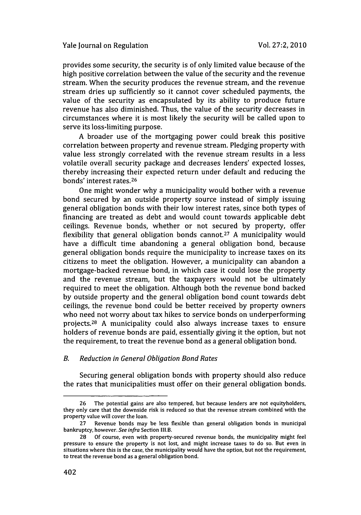provides some security, the security is of only limited value because of the high positive correlation between the value of the security and the revenue stream. When the security produces the revenue stream, and the revenue stream dries up sufficiently so it cannot cover scheduled payments, the value of the security as encapsulated **by** its ability to produce future revenue has also diminished. Thus, the value of the security decreases in circumstances where it is most likely the security will be called upon to serve its loss-limiting purpose.

A broader use of the mortgaging power could break this positive correlation between property and revenue stream. Pledging property with value less strongly correlated with the revenue stream results in a less volatile overall security package and decreases lenders' expected losses, thereby increasing their expected return under default and reducing the bonds' interest rates. <sup>26</sup>

One might wonder why a municipality would bother with a revenue bond secured **by** an outside property source instead of simply issuing general obligation bonds with their low interest rates, since both types of financing are treated as debt and would count towards applicable debt ceilings. Revenue bonds, whether or not secured **by** property, offer flexibility that general obligation bonds cannot.27 A municipality would have a difficult time abandoning a general obligation bond, because general obligation bonds require the municipality to increase taxes on its citizens to meet the obligation. However, a municipality can abandon a mortgage-backed revenue bond, in which case it could lose the property and the revenue stream, but the taxpayers would not be ultimately required to meet the obligation. Although both the revenue bond backed **by** outside property and the general obligation bond count towards debt ceilings, the revenue bond could be better received **by** property owners who need not worry about tax hikes to service bonds on underperforming projects.<sup>28</sup> A municipality could also always increase taxes to ensure holders of revenue bonds are paid, essentially giving it the option, but not the requirement, to treat the revenue bond as a general obligation bond.

### *B. Reduction in General Obligation Bond Rates*

Securing general obligation bonds with property should also reduce the rates that municipalities must offer on their general obligation bonds.

<sup>26</sup> The potential gains are also tempered, but because lenders are not equityholders, they only care that the downside risk is reduced so that the revenue stream combined with the property value will cover the loan.

<sup>27</sup> Revenue bonds may be less flexible than general obligation bonds in municipal bankruptcy, however. *See infra* Section III.B.

<sup>28</sup> Of course, even with property-secured revenue bonds, the municipality might feel pressure to ensure the property is not lost, and might increase taxes to do so. But even in situations where this is the case, the municipality would have the option, but not the requirement, to treat the revenue bond as a general obligation bond.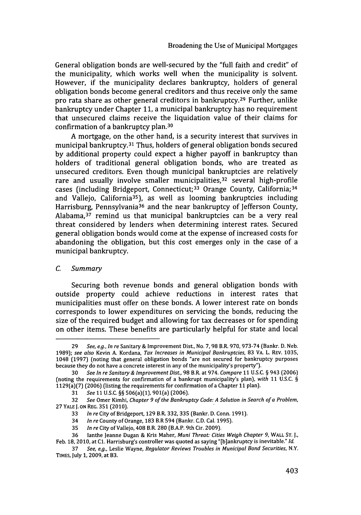General obligation bonds are well-secured by the "full faith and credit" of the municipality, which works well when the municipality is solvent. However, if the municipality declares bankruptcy, holders of general obligation bonds become general creditors and thus receive only the same pro rata share as other general creditors in bankruptcy. 29 Further, unlike bankruptcy under Chapter **11,** a municipal bankruptcy has no requirement that unsecured claims receive the liquidation value of their claims for confirmation of a bankruptcy plan.<sup>30</sup>

A mortgage, on the other hand, is a security interest that survives in municipal bankruptcy. 31 Thus, holders of general obligation bonds secured by additional property could expect a higher payoff in bankruptcy than holders of traditional general obligation bonds, who are treated as unsecured creditors. Even though municipal bankruptcies are relatively rare and usually involve smaller municipalities.<sup>32</sup> several high-profile cases (including Bridgeport, Connecticut; 33 Orange County, California; <sup>34</sup> and Vallejo, California<sup>35</sup>), as well as looming bankruptcies including Harrisburg, Pennsylvania<sup>36</sup> and the near bankruptcy of Jefferson County, Alabama, 37 remind us that municipal bankruptcies can be a very real threat considered by lenders when determining interest rates. Secured general obligation bonds would come at the expense of increased costs for abandoning the obligation, but this cost emerges only in the case of a municipal bankruptcy.

## *C.* Summary

Securing both revenue bonds and general obligation bonds with outside property could achieve reductions in interest rates that municipalities must offer on these bonds. A lower interest rate on bonds corresponds to lower expenditures on servicing the bonds, reducing the size of the required budget and allowing for tax decreases or for spending on other items. These benefits are particularly helpful for state and local

**<sup>29</sup>** See, e.g., In re Sanitary **&** Improvement Dist, No. 7, 98 B.R. 970, 973-74 (Bankr. D. Neb. 1989); see also Kevin A. Kordana, Tax Increases in Municipal Bankruptcies, 83 VA. L. REV. **1035,** 1048 (1997) (noting that general obligation bonds "are not secured for bankruptcy purposes because they do not have a concrete interest in any of the municipality's property").

**<sup>30</sup>** See In *reSanitary&* Improvement DisL, 98 *B.R.* at 974. Compare *11* U.S.C. **§** 943 (2006) (noting the requirements for confirmation of a bankrupt municipality's plan), with **11** U.S.C. § 1129(a)(7) (2006) (listing the requirements for confirmation of a Chapter **11** plan).

**<sup>31</sup>** See 11 U.S.C. §§ 506(a)(1), 901(a) (2006).

<sup>32</sup> See Omer Kimhi, Chapter 9 of the Bankruptcy Code: A Solution in Search of a Problem, **27** YALE **J. ON** REG. **351** (2010).

<sup>33</sup> In re City of Bridgeport, **129** B.R. 332, **335** (Bankr. D. Conn. 1991).

<sup>34</sup> In re County of Orange, **183** B.R 594 (Bankr. C.D. Cal. 1995).

**<sup>35</sup>** *In re* City of Vallejo, 408 B.R. 280 (B.A.P. 9th Cir. 2009).

<sup>36</sup> lanthe Jeanne Dugan & Kris Maher, Muni Threat- Cities Weigh Chapter *9,* WALL ST. *J.,*

Feb. 18, 2010, at **C1.** Harrisburg's controller was quoted as saying "(b]ankruptcy is inevitable." *Id.*

**<sup>37</sup>** See, e.g., Leslie Wayne, Regulator Reviews Troubles in Municipal Bond Securities, N.Y. TIMES, July **1,** 2009, at 83.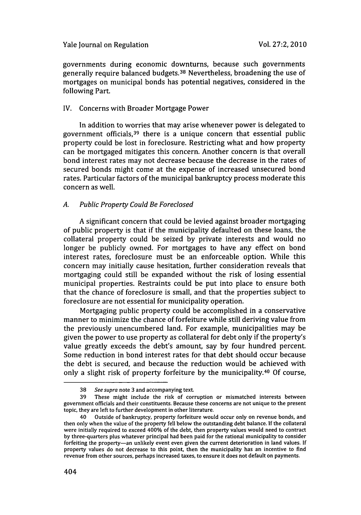governments during economic downturns, because such governments generally require balanced budgets. 38 Nevertheless, broadening the use of mortgages on municipal bonds has potential negatives, considered in the following Part.

## IV. Concerns with Broader Mortgage Power

In addition to worries that may arise whenever power is delegated to government officials, 39 there is a unique concern that essential public property could be lost in foreclosure. Restricting what and how property can be mortgaged mitigates this concern. Another concern is that overall bond interest rates may not decrease because the decrease in the rates of secured bonds might come at the expense of increased unsecured bond rates. Particular factors of the municipal bankruptcy process moderate this concern as well.

## *A. Public Property Could Be Foreclosed*

A significant concern that could be levied against broader mortgaging of public property is that if the municipality defaulted on these loans, the collateral property could be seized by private interests and would no longer be publicly owned. For mortgages to have any effect on bond interest rates, foreclosure must be an enforceable option. While this concern may initially cause hesitation, further consideration reveals that mortgaging could still be expanded without the risk of losing essential municipal properties. Restraints could be put into place to ensure both that the chance of foreclosure is small, and that the properties subject to foreclosure are not essential for municipality operation.

Mortgaging public property could be accomplished in a conservative manner to minimize the chance of forfeiture while still deriving value from the previously unencumbered land. For example, municipalities may be given the power to use property as collateral for debt only if the property's value greatly exceeds the debt's amount, say by four hundred percent. Some reduction in bond interest rates for that debt should occur because the debt is secured, and because the reduction would be achieved with only a slight risk of property forfeiture by the municipality.40 Of course,

<sup>38</sup> *See* supra note 3 and accompanying text.

<sup>39</sup> These might include the risk of corruption or mismatched interests between government officials and their constituents. Because these concerns are not unique to the present topic, they are left to further development in other literature.

<sup>40</sup> Outside of bankruptcy, property forfeiture would occur only on revenue bonds, and then only when the value of the property fell below the outstanding debt balance. If the collateral were initially required to exceed 400% of the debt, then property values would need to contract by three-quarters plus whatever principal had been paid for the rational municipality to consider forfeiting the property-an unlikely event even given the current deterioration in land values. If property values do not decrease to this point, then the municipality has an incentive to find revenue from other sources, perhaps increased taxes, to ensure it does not default on payments.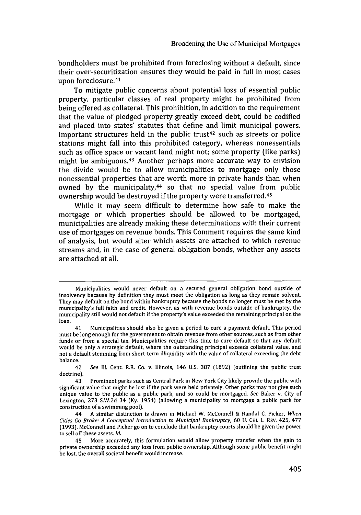bondholders must be prohibited from foreclosing without a default, since their over-securitization ensures they would be paid in full in most cases upon foreclosure.<sup>41</sup>

To mitigate public concerns about potential loss of essential public property, particular classes of real property might be prohibited from being offered as collateral. This prohibition, in addition to the requirement that the value of pledged property greatly exceed debt, could be codified and placed into states' statutes that define and limit municipal powers. Important structures held in the public trust<sup> $42$ </sup> such as streets or police stations might fall into this prohibited category, whereas nonessentials such as office space or vacant land might not; some property (like parks) might be ambiguous.<sup>43</sup> Another perhaps more accurate way to envision the divide would be to allow municipalities to mortgage only those nonessential properties that are worth more in private hands than when owned by the municipality,<sup>44</sup> so that no special value from public ownership would be destroyed if the property were transferred. <sup>45</sup>

While it may seem difficult to determine how safe to make the mortgage or which properties should be allowed to be mortgaged, municipalities are already making these determinations with their current use of mortgages on revenue bonds. This Comment requires the same kind of analysis, but would alter which assets are attached to which revenue streams and, in the case of general obligation bonds, whether any assets are attached at all.

Municipalities would never default on a secured general obligation bond outside of insolvency because by definition they must meet the obligation as long as they remain solvent. They may default on the bond within bankruptcy because the bonds no longer must be met by the municipality's full faith and credit. However, as with revenue bonds outside of bankruptcy, the municipality still would not default if the property's value exceeded the remaining principal on the loan.

Municipalities should also be given a period to cure a payment default. This period must be long enough for the government to obtain revenue from other sources, such as from other funds or from a special tax. Municipalities require this time to cure default so that any default would be only a strategic default, where the outstanding principal exceeds collateral value, and not a default stemming from short-term illiquidity with the value of collateral exceeding the debt balance.

<sup>42</sup> *See* **Ill.** Cent. R.R. Co. v. Illinois, 146 U.S. 387 (1892) (outlining the public trust doctrine).

<sup>43</sup> Prominent parks such as Central Park in New York City likely provide the public with significant value that might be lost if the park were held privately. Other parks may not give such unique value to the public as a public park, and so could be mortgaged. *See* Baker v. City of Lexington, 273 S.W.2d 34 (Ky. 1954) (allowing a municipality to mortgage a public park for construction of a swimming pool).

<sup>44</sup> A similar distinction is drawn in Michael W. McConnell & Randal C. Picker, *When Cities Go Broke: A Conceptual Introduction to Municipal Bankruptcy,* **60** U. CHI. L. REV. 425, 477 (1993). McConnell and Picker go on to conclude that bankruptcy courts should be given the power to sell off these assets. *Id.*

<sup>45</sup> More accurately, this formulation would allow property transfer when the gain to private ownership exceeded any loss from public ownership. Although some public benefit might be lost, the overall societal benefit would increase.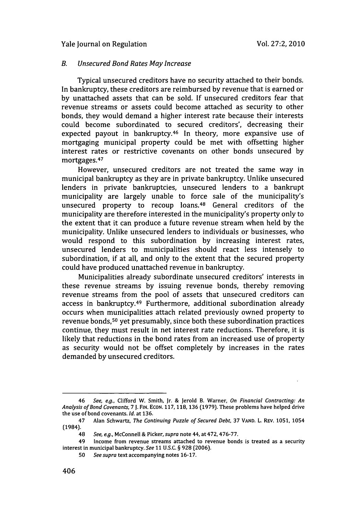#### *B. Unsecured Bond Rates May Increase*

Typical unsecured creditors have no security attached to their bonds. In bankruptcy, these creditors are reimbursed by revenue that is earned or by unattached assets that can be sold. If unsecured creditors fear that revenue streams or assets could become attached as security to other bonds, they would demand a higher interest rate because their interests could become subordinated to secured creditors', decreasing their expected payout in bankruptcy.<sup>46</sup> In theory, more expansive use of mortgaging municipal property could be met with offsetting higher interest rates or restrictive covenants on other bonds unsecured by mortgages. <sup>47</sup>

However, unsecured creditors are not treated the same way in municipal bankruptcy as they are in private bankruptcy. Unlike unsecured lenders in private bankruptcies, unsecured lenders to a bankrupt municipality are largely unable to force sale of the municipality's unsecured property to recoup loans.<sup>48</sup> General creditors of the municipality are therefore interested in the municipality's property only to the extent that it can produce a future revenue stream when held by the municipality. Unlike unsecured lenders to individuals or businesses, who would respond to this subordination by increasing interest rates, unsecured lenders to municipalities should react less intensely to subordination, if at all, and only to the extent that the secured property could have produced unattached revenue in bankruptcy.

Municipalities already subordinate unsecured creditors' interests in these revenue streams by issuing revenue bonds, thereby removing revenue streams from the pool of assets that unsecured creditors can access in bankruptcy. 49 Furthermore, additional subordination already occurs when municipalities attach related previously owned property to revenue bonds, 50 yet presumably, since both these subordination practices continue, they must result in net interest rate reductions. Therefore, it is likely that reductions in the bond rates from an increased use of property as security would not be offset completely by increases in the rates demanded by unsecured creditors.

<sup>46</sup> *See, e.g.,* Clifford W. Smith, Jr. & Jerold B. Warner, *On Financial Contracting: An Analysis of Bond Covenants, 7 J.* **FIN. ECON.** 117, 118, **136** (1979). These problems have helped drive the use of bond covenants. *Id.* at 136.

<sup>47</sup> Alan Schwartz, *The Continuing Puzzle of Secured Debt,* **37** VAND. L. REv. 1051, 1054 (1984).

<sup>48</sup> *See, e.g.,* McConnell & Picker, *supra* note 44, at 472, 476-77.

<sup>49</sup> Income from revenue streams attached to revenue bonds is treated as a security interest in municipal bankruptcy. *See 11* **U.S.C.** § 928 (2006).

<sup>50</sup> *See supra* text accompanying notes 16-17.